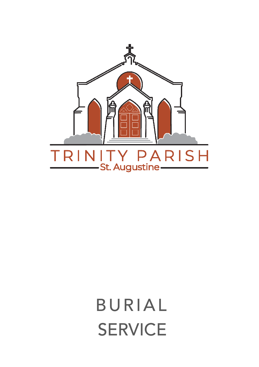

BURIAL **SERVICE**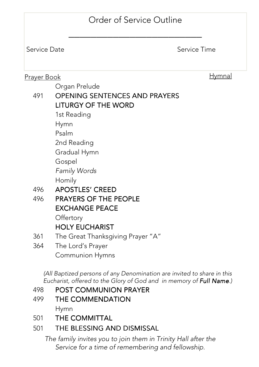# Order of Service Outline

\_\_\_\_\_\_\_\_\_\_\_\_\_\_\_\_\_\_\_\_\_\_\_\_

Service Date Service Time

#### Prayer Book **Hymnal**

Organ Prelude

# 491 OPENING SENTENCES AND PRAYERS **LITURGY OF THE WORD**

1st Reading

Hymn

Psalm

2nd Reading

Gradual Hymn

Gospel

Family Words

Homily

- 496 APOSTLES' CREED
- 496 PRAYERS OF THE PEOPLE **EXCHANGE PEACE**

**Offertory** 

# **HOLY EUCHARIST**

- 361 The Great Thanksgiving Prayer "A"
- 364 The Lord's Prayer Communion Hymns

(All Baptized persons of any Denomination are invited to share in this Eucharist, offered to the Glory of God and in memory of **Full Name**.)

# 498 POST COMMUNION PRAYER

- 499 THE COMMENDATION Hymn
- 501 THE COMMITTAL

# 501 THE BLESSING AND DISMISSAL

The family invites you to join them in Trinity Hall after the Service for a time of remembering and fellowship.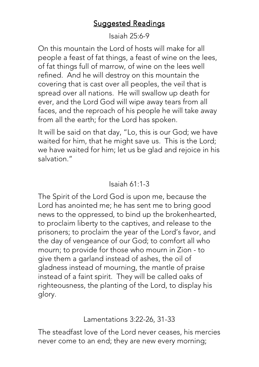# **Suggested Readings**

### Isaiah 25:6-9

On this mountain the Lord of hosts will make for all people a feast of fat things, a feast of wine on the lees, of fat things full of marrow, of wine on the lees well refined. And he will destroy on this mountain the covering that is cast over all peoples, the veil that is spread over all nations. He will swallow up death for ever, and the Lord God will wipe away tears from all faces, and the reproach of his people he will take away from all the earth; for the Lord has spoken.

It will be said on that day, "Lo, this is our God; we have waited for him, that he might save us. This is the Lord; we have waited for him; let us be glad and rejoice in his salvation."

# Isaiah 61:1-3

The Spirit of the Lord God is upon me, because the Lord has anointed me; he has sent me to bring good news to the oppressed, to bind up the brokenhearted, to proclaim liberty to the captives, and release to the prisoners; to proclaim the year of the Lord's favor, and the day of vengeance of our God; to comfort all who mourn; to provide for those who mourn in Zion - to give them a garland instead of ashes, the oil of gladness instead of mourning, the mantle of praise instead of a faint spirit. They will be called oaks of righteousness, the planting of the Lord, to display his glory.

Lamentations 3:22-26, 31-33

The steadfast love of the Lord never ceases, his mercies never come to an end; they are new every morning;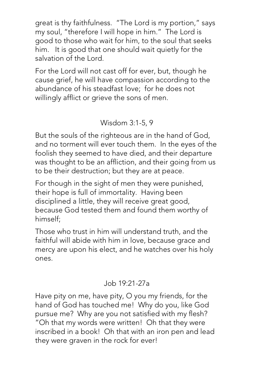great is thy faithfulness. "The Lord is my portion," says my soul, "therefore I will hope in him." The Lord is good to those who wait for him, to the soul that seeks him. It is good that one should wait quietly for the salvation of the Lord.

For the Lord will not cast off for ever, but, though he cause grief, he will have compassion according to the abundance of his steadfast love; for he does not willingly afflict or grieve the sons of men.

# Wisdom 3:1-5, 9

But the souls of the righteous are in the hand of God, and no torment will ever touch them. In the eyes of the foolish they seemed to have died, and their departure was thought to be an affliction, and their going from us to be their destruction; but they are at peace.

For though in the sight of men they were punished, their hope is full of immortality. Having been disciplined a little, they will receive great good, because God tested them and found them worthy of himself;

Those who trust in him will understand truth, and the faithful will abide with him in love, because grace and mercy are upon his elect, and he watches over his holy ones.

# Job 19:21-27a

Have pity on me, have pity, O you my friends, for the hand of God has touched me! Why do you, like God pursue me? Why are you not satisfied with my flesh? "Oh that my words were written! Oh that they were inscribed in a book! Oh that with an iron pen and lead they were graven in the rock for ever!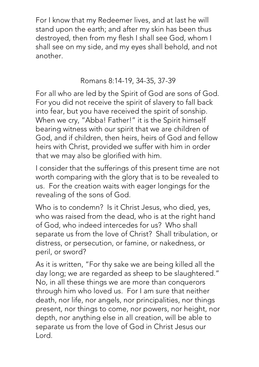For I know that my Redeemer lives, and at last he will stand upon the earth; and after my skin has been thus destroyed, then from my flesh I shall see God, whom I shall see on my side, and my eyes shall behold, and not another.

# Romans 8:14-19, 34-35, 37-39

For all who are led by the Spirit of God are sons of God. For you did not receive the spirit of slavery to fall back into fear, but you have received the spirit of sonship. When we cry, "Abba! Father!" it is the Spirit himself bearing witness with our spirit that we are children of God, and if children, then heirs, heirs of God and fellow heirs with Christ, provided we suffer with him in order that we may also be glorified with him.

I consider that the sufferings of this present time are not worth comparing with the glory that is to be revealed to us. For the creation waits with eager longings for the revealing of the sons of God.

Who is to condemn? Is it Christ Jesus, who died, yes, who was raised from the dead, who is at the right hand of God, who indeed intercedes for us? Who shall separate us from the love of Christ? Shall tribulation, or distress, or persecution, or famine, or nakedness, or peril, or sword?

As it is written, "For thy sake we are being killed all the day long; we are regarded as sheep to be slaughtered." No, in all these things we are more than conquerors through him who loved us. For I am sure that neither death, nor life, nor angels, nor principalities, nor things present, nor things to come, nor powers, nor height, nor depth, nor anything else in all creation, will be able to separate us from the love of God in Christ Jesus our Lord.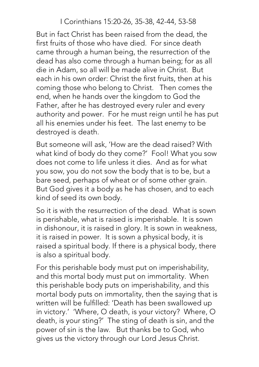### I Corinthians 15:20-26, 35-38, 42-44, 53-58

But in fact Christ has been raised from the dead, the first fruits of those who have died. For since death came through a human being, the resurrection of the dead has also come through a human being; for as all die in Adam, so all will be made alive in Christ. But each in his own order: Christ the first fruits, then at his coming those who belong to Christ. Then comes the end, when he hands over the kingdom to God the Father, after he has destroyed every ruler and every authority and power. For he must reign until he has put all his enemies under his feet. The last enemy to be destroyed is death.

But someone will ask, 'How are the dead raised? With what kind of body do they come?' Fool! What you sow does not come to life unless it dies. And as for what you sow, you do not sow the body that is to be, but a bare seed, perhaps of wheat or of some other grain. But God gives it a body as he has chosen, and to each kind of seed its own body.

So it is with the resurrection of the dead. What is sown is perishable, what is raised is imperishable. It is sown in dishonour, it is raised in glory. It is sown in weakness, it is raised in power. It is sown a physical body, it is raised a spiritual body. If there is a physical body, there is also a spiritual body.

For this perishable body must put on imperishability, and this mortal body must put on immortality. When this perishable body puts on imperishability, and this mortal body puts on immortality, then the saying that is written will be fulfilled: 'Death has been swallowed up in victory.' 'Where, O death, is your victory? Where, O death, is your sting?' The sting of death is sin, and the power of sin is the law. But thanks be to God, who gives us the victory through our Lord Jesus Christ.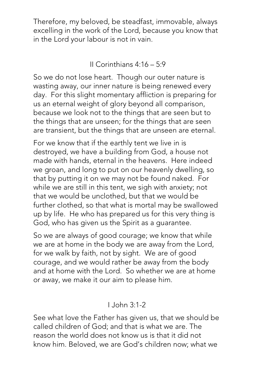Therefore, my beloved, be steadfast, immovable, always excelling in the work of the Lord, because you know that in the Lord your labour is not in vain.

II Corinthians 4:16 – 5:9

So we do not lose heart. Though our outer nature is wasting away, our inner nature is being renewed every day. For this slight momentary affliction is preparing for us an eternal weight of glory beyond all comparison, because we look not to the things that are seen but to the things that are unseen; for the things that are seen are transient, but the things that are unseen are eternal.

For we know that if the earthly tent we live in is destroyed, we have a building from God, a house not made with hands, eternal in the heavens. Here indeed we groan, and long to put on our heavenly dwelling, so that by putting it on we may not be found naked. For while we are still in this tent, we sigh with anxiety; not that we would be unclothed, but that we would be further clothed, so that what is mortal may be swallowed up by life. He who has prepared us for this very thing is God, who has given us the Spirit as a guarantee.

So we are always of good courage; we know that while we are at home in the body we are away from the Lord, for we walk by faith, not by sight. We are of good courage, and we would rather be away from the body and at home with the Lord. So whether we are at home or away, we make it our aim to please him.

### I John 3:1-2

See what love the Father has given us, that we should be called children of God; and that is what we are. The reason the world does not know us is that it did not know him. Beloved, we are God's children now; what we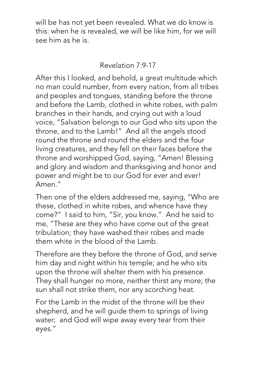will be has not yet been revealed. What we do know is this: when he is revealed, we will be like him, for we will see him as he is.

### Revelation 7:9-17

After this I looked, and behold, a great multitude which no man could number, from every nation, from all tribes and peoples and tongues, standing before the throne and before the Lamb, clothed in white robes, with palm branches in their hands, and crying out with a loud voice, "Salvation belongs to our God who sits upon the throne, and to the Lamb!" And all the angels stood round the throne and round the elders and the four living creatures, and they fell on their faces before the throne and worshipped God, saying, "Amen! Blessing and glory and wisdom and thanksgiving and honor and power and might be to our God for ever and ever! Amen."

Then one of the elders addressed me, saying, "Who are these, clothed in white robes, and whence have they come?" I said to him, "Sir, you know." And he said to me, "These are they who have come out of the great tribulation; they have washed their robes and made them white in the blood of the Lamb.

Therefore are they before the throne of God, and serve him day and night within his temple; and he who sits upon the throne will shelter them with his presence. They shall hunger no more, neither thirst any more; the sun shall not strike them, nor any scorching heat.

For the Lamb in the midst of the throne will be their shepherd, and he will guide them to springs of living water; and God will wipe away every tear from their eyes."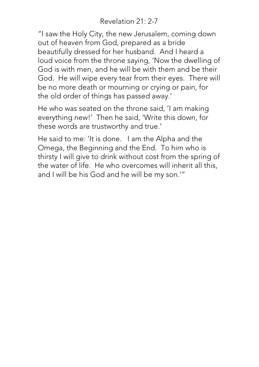Revelation 21: 2-7

"I saw the Holy City, the new Jerusalem, coming down out of heaven from God, prepared as a bride beautifully dressed for her husband. And I heard a loud voice from the throne saying, 'Now the dwelling of God is with men, and he will be with them and be their God. He will wipe every tear from their eyes. There will be no more death or mourning or crying or pain, for the old order of things has passed away.'

He who was seated on the throne said, 'I am making everything new!' Then he said, 'Write this down, for these words are trustworthy and true.'

He said to me: 'It is done. I am the Alpha and the Omega, the Beginning and the End. To him who is thirsty I will give to drink without cost from the spring of the water of life. He who overcomes will inherit all this, and I will be his God and he will be my son.'"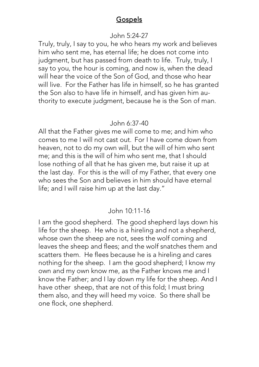#### **Gospels**

#### John 5:24-27

Truly, truly, I say to you, he who hears my work and believes him who sent me, has eternal life; he does not come into judgment, but has passed from death to life. Truly, truly, I say to you, the hour is coming, and now is, when the dead will hear the voice of the Son of God, and those who hear will live. For the Father has life in himself, so he has granted the Son also to have life in himself, and has given him authority to execute judgment, because he is the Son of man.

#### John 6:37-40

All that the Father gives me will come to me; and him who comes to me I will not cast out. For I have come down from heaven, not to do my own will, but the will of him who sent me; and this is the will of him who sent me, that I should lose nothing of all that he has given me, but raise it up at the last day. For this is the will of my Father, that every one who sees the Son and believes in him should have eternal life; and I will raise him up at the last day."

#### John 10:11-16

I am the good shepherd. The good shepherd lays down his life for the sheep. He who is a hireling and not a shepherd, whose own the sheep are not, sees the wolf coming and leaves the sheep and flees; and the wolf snatches them and scatters them. He flees because he is a hireling and cares nothing for the sheep. I am the good shepherd; I know my own and my own know me, as the Father knows me and I know the Father; and I lay down my life for the sheep. And I have other sheep, that are not of this fold; I must bring them also, and they will heed my voice. So there shall be one flock, one shepherd.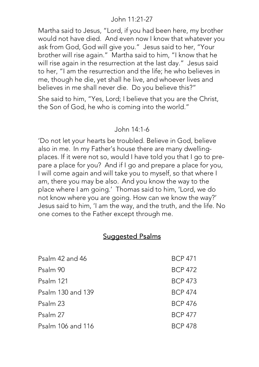#### John 11:21-27

Martha said to Jesus, "Lord, if you had been here, my brother would not have died. And even now I know that whatever you ask from God, God will give you." Jesus said to her, "Your brother will rise again." Martha said to him, "I know that he will rise again in the resurrection at the last day." Jesus said to her, "I am the resurrection and the life; he who believes in me, though he die, yet shall he live, and whoever lives and believes in me shall never die. Do you believe this?"

She said to him, "Yes, Lord; I believe that you are the Christ, the Son of God, he who is coming into the world."

#### John 14:1-6

'Do not let your hearts be troubled. Believe in God, believe also in me. In my Father's house there are many dwellingplaces. If it were not so, would I have told you that I go to prepare a place for you? And if I go and prepare a place for you, I will come again and will take you to myself, so that where I am, there you may be also. And you know the way to the place where I am going.' Thomas said to him, 'Lord, we do not know where you are going. How can we know the way?' Jesus said to him, 'I am the way, and the truth, and the life. No one comes to the Father except through me.

### Suggested Psalms

| Psalm 42 and 46   | <b>BCP 471</b> |
|-------------------|----------------|
| Psalm 90          | <b>BCP 472</b> |
| Psalm 121         | <b>BCP 473</b> |
| Psalm 130 and 139 | <b>BCP 474</b> |
| Psalm 23          | <b>BCP 476</b> |
| Psalm 27          | <b>BCP 477</b> |
| Psalm 106 and 116 | <b>BCP 478</b> |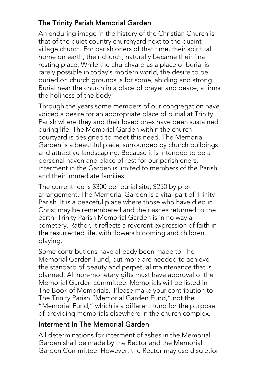# The Trinity Parish Memorial Garden

An enduring image in the history of the Christian Church is that of the quiet country churchyard next to the quaint village church. For parishioners of that time, their spiritual home on earth, their church, naturally became their final resting place. While the churchyard as a place of burial is rarely possible in today's modern world, the desire to be buried on church grounds is for some, abiding and strong. Burial near the church in a place of prayer and peace, affirms the holiness of the body.

Through the years some members of our congregation have voiced a desire for an appropriate place of burial at Trinity Parish where they and their loved ones have been sustained during life. The Memorial Garden within the church courtyard is designed to meet this need. The Memorial Garden is a beautiful place, surrounded by church buildings and attractive landscaping. Because it is intended to be a personal haven and place of rest for our parishioners, interment in the Garden is limited to members of the Parish and their immediate families.

The current fee is \$300 per burial site; \$250 by prearrangement. The Memorial Garden is a vital part of Trinity Parish. It is a peaceful place where those who have died in Christ may be remembered and their ashes returned to the earth. Trinity Parish Memorial Garden is in no way a cemetery. Rather, it reflects a reverent expression of faith in the resurrected life, with flowers blooming and children playing.

Some contributions have already been made to The Memorial Garden Fund, but more are needed to achieve the standard of beauty and perpetual maintenance that is planned. All non-monetary gifts must have approval of the Memorial Garden committee. Memorials will be listed in The Book of Memorials. Please make your contribution to The Trinity Parish "Memorial Garden Fund," not the "Memorial Fund," which is a different fund for the purpose of providing memorials elsewhere in the church complex.

### Interment In The Memorial Garden

All determinations for interment of ashes in the Memorial Garden shall be made by the Rector and the Memorial Garden Committee. However, the Rector may use discretion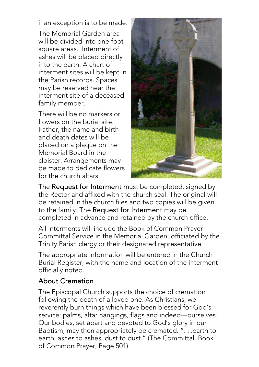if an exception is to be made.

The Memorial Garden area will be divided into one-foot square areas. Interment of ashes will be placed directly into the earth. A chart of interment sites will be kept in the Parish records. Spaces may be reserved near the interment site of a deceased family member.

There will be no markers or flowers on the burial site. Father, the name and birth and death dates will be placed on a plaque on the Memorial Board in the cloister. Arrangements may be made to dedicate flowers for the church altars.



The Request for Interment must be completed, signed by the Rector and affixed with the church seal. The original will be retained in the church files and two copies will be given to the family. The Request for Interment may be completed in advance and retained by the church office.

All interments will include the Book of Common Prayer Committal Service in the Memorial Garden, officiated by the Trinity Parish clergy or their designated representative.

The appropriate information will be entered in the Church Burial Register, with the name and location of the interment officially noted.

### **About Cremation**

The Episcopal Church supports the choice of cremation following the death of a loved one. As Christians, we reverently burn things which have been blessed for God's service: palms, altar hangings, flags and indeed—ourselves. Our bodies, set apart and devoted to God's glory in our Baptism, may then appropriately be cremated. ". . .earth to earth, ashes to ashes, dust to dust." (The Committal, Book of Common Prayer, Page 501)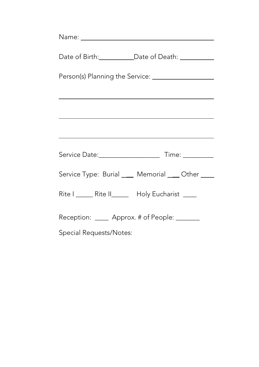| Date of Birth: _____________Date of Death: ____________ |  |  |
|---------------------------------------------------------|--|--|
|                                                         |  |  |
|                                                         |  |  |
|                                                         |  |  |
|                                                         |  |  |
|                                                         |  |  |
| Service Type: Burial ____ Memorial ____ Other ____      |  |  |
| Rite I ______ Rite II______ Holy Eucharist ____         |  |  |
| Reception: ____ Approx. # of People: ______             |  |  |
| Special Requests/Notes:                                 |  |  |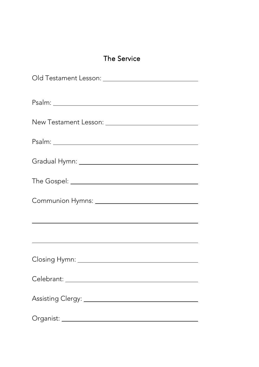|  | <b>The Service</b> |
|--|--------------------|
|  |                    |

| <u> 1989 - Johann Barn, amerikansk politiker (d. 1989)</u> |
|------------------------------------------------------------|
| <u> 1989 - Johann Barn, amerikansk politiker (d. 1989)</u> |
|                                                            |
|                                                            |
|                                                            |
|                                                            |